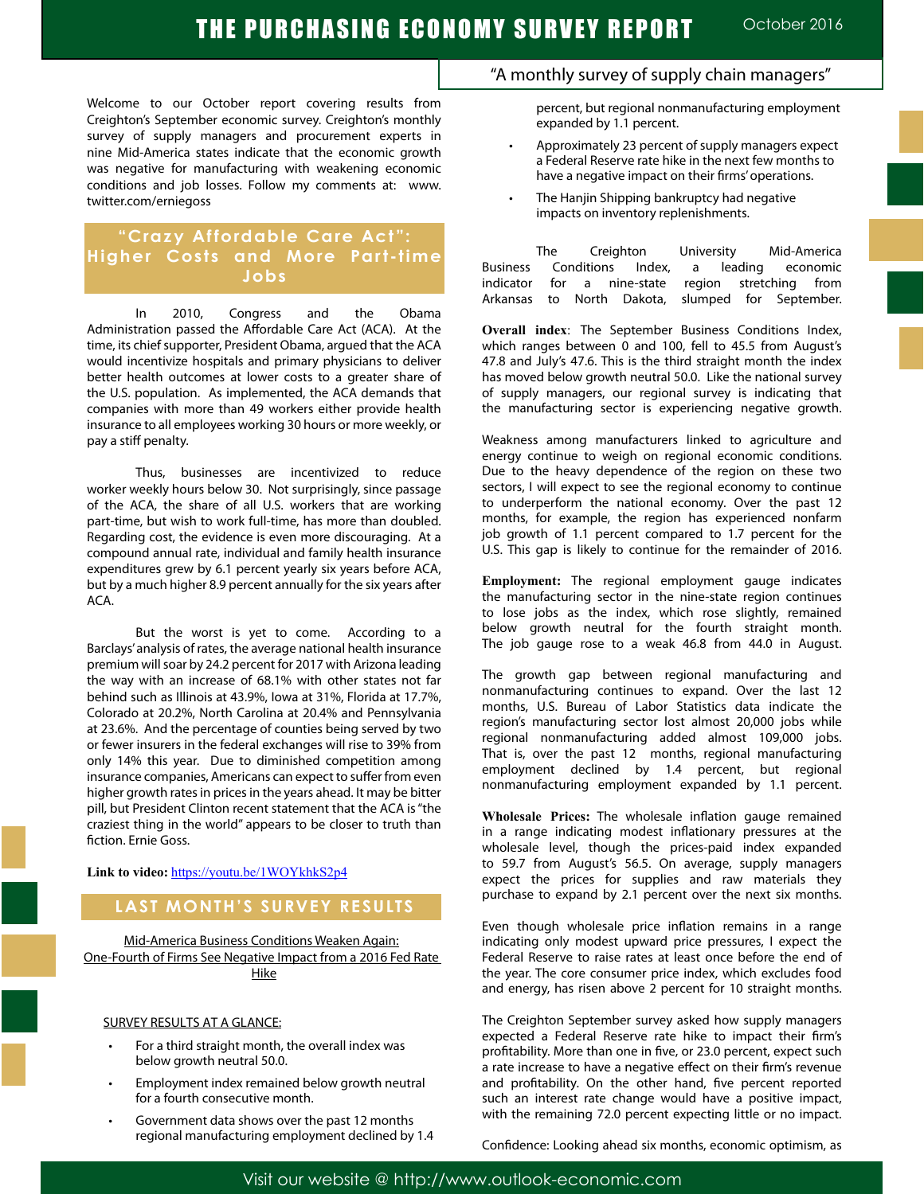Welcome to our October report covering results from Creighton's September economic survey. Creighton's monthly survey of supply managers and procurement experts in nine Mid-America states indicate that the economic growth was negative for manufacturing with weakening economic conditions and job losses. Follow my comments at: www. twitter.com/erniegoss

## **"Crazy Affordable Care Act": Higher Costs and More Part-time Jobs**

In 2010, Congress and the Obama Administration passed the Affordable Care Act (ACA). At the time, its chief supporter, President Obama, argued that the ACA would incentivize hospitals and primary physicians to deliver better health outcomes at lower costs to a greater share of the U.S. population. As implemented, the ACA demands that companies with more than 49 workers either provide health insurance to all employees working 30 hours or more weekly, or pay a stiff penalty.

Thus, businesses are incentivized to reduce worker weekly hours below 30. Not surprisingly, since passage of the ACA, the share of all U.S. workers that are working part-time, but wish to work full-time, has more than doubled. Regarding cost, the evidence is even more discouraging. At a compound annual rate, individual and family health insurance expenditures grew by 6.1 percent yearly six years before ACA, but by a much higher 8.9 percent annually for the six years after ACA.

But the worst is yet to come. According to a Barclays' analysis of rates, the average national health insurance premium will soar by 24.2 percent for 2017 with Arizona leading the way with an increase of 68.1% with other states not far behind such as Illinois at 43.9%, Iowa at 31%, Florida at 17.7%, Colorado at 20.2%, North Carolina at 20.4% and Pennsylvania at 23.6%. And the percentage of counties being served by two or fewer insurers in the federal exchanges will rise to 39% from only 14% this year. Due to diminished competition among insurance companies, Americans can expect to suffer from even higher growth rates in prices in the years ahead. It may be bitter pill, but President Clinton recent statement that the ACA is "the craziest thing in the world" appears to be closer to truth than fiction. Ernie Goss.

**Link to video:** https://youtu.be/1WOYkhkS2p4

### **LAST MONTH'S SURVEY RESULTS**

Mid-America Business Conditions Weaken Again: One-Fourth of Firms See Negative Impact from a 2016 Fed Rate Hike

#### SURVEY RESULTS AT A GLANCE:

- For a third straight month, the overall index was below growth neutral 50.0.
- Employment index remained below growth neutral for a fourth consecutive month.
- Government data shows over the past 12 months regional manufacturing employment declined by 1.4

### "A monthly survey of supply chain managers"

percent, but regional nonmanufacturing employment expanded by 1.1 percent.

- Approximately 23 percent of supply managers expect a Federal Reserve rate hike in the next few months to have a negative impact on their firms' operations.
- The Hanjin Shipping bankruptcy had negative impacts on inventory replenishments.

The Creighton University Mid-America<br>Conditions Index, a leading economic Business Conditions Index, a leading economic indicator for a nine-state region stretching from Arkansas to North Dakota, slumped for September.

**Overall index**: The September Business Conditions Index, which ranges between 0 and 100, fell to 45.5 from August's 47.8 and July's 47.6. This is the third straight month the index has moved below growth neutral 50.0. Like the national survey of supply managers, our regional survey is indicating that the manufacturing sector is experiencing negative growth.

Weakness among manufacturers linked to agriculture and energy continue to weigh on regional economic conditions. Due to the heavy dependence of the region on these two sectors, I will expect to see the regional economy to continue to underperform the national economy. Over the past 12 months, for example, the region has experienced nonfarm job growth of 1.1 percent compared to 1.7 percent for the U.S. This gap is likely to continue for the remainder of 2016.

**Employment:** The regional employment gauge indicates the manufacturing sector in the nine-state region continues to lose jobs as the index, which rose slightly, remained below growth neutral for the fourth straight month. The job gauge rose to a weak 46.8 from 44.0 in August.

The growth gap between regional manufacturing and nonmanufacturing continues to expand. Over the last 12 months, U.S. Bureau of Labor Statistics data indicate the region's manufacturing sector lost almost 20,000 jobs while regional nonmanufacturing added almost 109,000 jobs. That is, over the past 12 months, regional manufacturing employment declined by 1.4 percent, but regional nonmanufacturing employment expanded by 1.1 percent.

**Wholesale Prices:** The wholesale inflation gauge remained in a range indicating modest inflationary pressures at the wholesale level, though the prices-paid index expanded to 59.7 from August's 56.5. On average, supply managers expect the prices for supplies and raw materials they purchase to expand by 2.1 percent over the next six months.

Even though wholesale price inflation remains in a range indicating only modest upward price pressures, I expect the Federal Reserve to raise rates at least once before the end of the year. The core consumer price index, which excludes food and energy, has risen above 2 percent for 10 straight months.

The Creighton September survey asked how supply managers expected a Federal Reserve rate hike to impact their firm's profitability. More than one in five, or 23.0 percent, expect such a rate increase to have a negative effect on their firm's revenue and profitability. On the other hand, five percent reported such an interest rate change would have a positive impact, with the remaining 72.0 percent expecting little or no impact.

Confidence: Looking ahead six months, economic optimism, as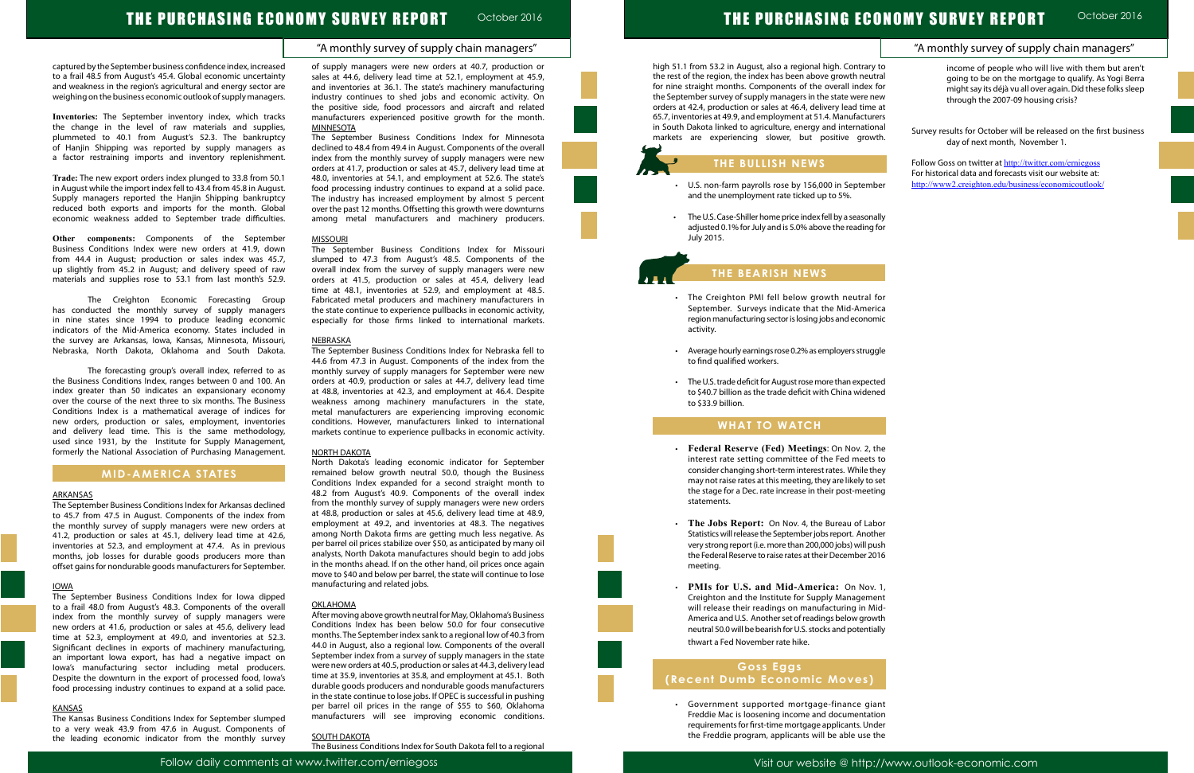### "A monthly survey of supply chain managers"

# THE PURCHASING ECONOMY SURVEY REPORT October 2016

captured by the September business confidence index, increased to a frail 48.5 from August's 45.4. Global economic uncertainty and weakness in the region's agricultural and energy sector are weighing on the business economic outlook of supply managers.

**Inventories:** The September inventory index, which tracks the change in the level of raw materials and supplies, plummeted to 40.1 from August's 52.3. The bankruptcy of Hanjin Shipping was reported by supply managers as a factor restraining imports and inventory replenishment.

**Trade:** The new export orders index plunged to 33.8 from 50.1 in August while the import index fell to 43.4 from 45.8 in August. Supply managers reported the Hanjin Shipping bankruptcy reduced both exports and imports for the month. Global economic weakness added to September trade difficulties.

**Other components:** Components of the September Business Conditions Index were new orders at 41.9, down from 44.4 in August; production or sales index was 45.7, up slightly from 45.2 in August; and delivery speed of raw materials and supplies rose to 53.1 from last month's 52.9.

The Creighton Economic Forecasting Group has conducted the monthly survey of supply managers in nine states since 1994 to produce leading economic indicators of the Mid-America economy. States included in the survey are Arkansas, Iowa, Kansas, Minnesota, Missouri, Nebraska, North Dakota, Oklahoma and South Dakota. of supply managers were new orders at 40.7, production or sales at 44.6, delivery lead time at 52.1, employment at 45.9, and inventories at 36.1. The state's machinery manufacturing industry continues to shed jobs and economic activity. On the positive side, food processors and aircraft and related manufacturers experienced positive growth for the month. **MINNESOTA** 

The forecasting group's overall index, referred to as the Business Conditions Index, ranges between 0 and 100. An index greater than 50 indicates an expansionary economy over the course of the next three to six months. The Business Conditions Index is a mathematical average of indices for new orders, production or sales, employment, inventories and delivery lead time. This is the same methodology, used since 1931, by the Institute for Supply Management, formerly the National Association of Purchasing Management.

### **MID-AMERICA STATES**

#### ARKANSAS

The September Business Conditions Index for Arkansas declined to 45.7 from 47.5 in August. Components of the index from the monthly survey of supply managers were new orders at 41.2, production or sales at 45.1, delivery lead time at 42.6, inventories at 52.3, and employment at 47.4. As in previous months, job losses for durable goods producers more than offset gains for nondurable goods manufacturers for September.

#### IOWA

The September Business Conditions Index for Iowa dipped to a frail 48.0 from August's 48.3. Components of the overall index from the monthly survey of supply managers were new orders at 41.6, production or sales at 45.6, delivery lead time at 52.3, employment at 49.0, and inventories at 52.3. Significant declines in exports of machinery manufacturing, an important Iowa export, has had a negative impact on Iowa's manufacturing sector including metal producers. Despite the downturn in the export of processed food, Iowa's food processing industry continues to expand at a solid pace.

#### KANSAS

The Kansas Business Conditions Index for September slumped to a very weak 43.9 from 47.6 in August. Components of the leading economic indicator from the monthly survey

- U.S. non-farm payrolls rose by 156,000 in Septeml and the unemployment rate ticked up to 5%.
- The U.S. Case-Shiller home price index fell by a season adjusted 0.1% for July and is 5.0% above the reading July 2015.

- The Creighton PMI fell below growth neutral September. Surveys indicate that the Mid-Amer region manufacturing sector is losing jobs and econor activity.
- Average hourly earnings rose 0.2% as employers struggless to find qualified workers.
- The U.S. trade deficit for August rose more than expect to \$40.7 billion as the trade deficit with China wider to \$33.9 billion.

The September Business Conditions Index for Minnesota declined to 48.4 from 49.4 in August. Components of the overall index from the monthly survey of supply managers were new orders at 41.7, production or sales at 45.7, delivery lead time at 48.0, inventories at 54.1, and employment at 52.6. The state's food processing industry continues to expand at a solid pace. The industry has increased employment by almost 5 percent over the past 12 months. Offsetting this growth were downturns among metal manufacturers and machinery producers.

#### MISSOURI

- **Federal Reserve (Fed) Meetings: On Nov. 2,** interest rate setting committee of the Fed meet consider changing short-term interest rates. While the may not raise rates at this meeting, they are likely to the stage for a Dec. rate increase in their post-meet statements.
- The Jobs Report: On Nov. 4, the Bureau of Labor Statistics will release the September jobs report. Anoth very strong report (i.e. more than 200,000 jobs) will put the Federal Reserve to raise rates at their December 20 meeting.
- $\cdot$  **PMIs for U.S. and Mid-America:** On Nov. Creighton and the Institute for Supply Manageme will release their readings on manufacturing in M America and U.S. Another set of readings below grow neutral 50.0 will be bearish for U.S. stocks and potential thwart a Fed November rate hike.

The September Business Conditions Index for Missouri slumped to 47.3 from August's 48.5. Components of the overall index from the survey of supply managers were new orders at 41.5, production or sales at 45.4, delivery lead time at 48.1, inventories at 52.9, and employment at 48.5. Fabricated metal producers and machinery manufacturers in the state continue to experience pullbacks in economic activity, especially for those firms linked to international markets.

#### NEBRASKA

|                                   | UNUMY SURVEY REPURT<br>OCIODEI ZUTO                                                                                                                                                                                |
|-----------------------------------|--------------------------------------------------------------------------------------------------------------------------------------------------------------------------------------------------------------------|
|                                   | "A monthly survey of supply chain managers"                                                                                                                                                                        |
| y to<br>tral<br>for<br>ew<br>e at | income of people who will live with them but aren't<br>going to be on the mortgage to qualify. As Yogi Berra<br>might say its déjà vu all over again. Did these folks sleep<br>through the 2007-09 housing crisis? |
| rers<br>nal<br>vth.               | Survey results for October will be released on the first business<br>day of next month, November 1.                                                                                                                |
| ber                               | Follow Goss on twitter at http://twitter.com/erniegoss<br>For historical data and forecasts visit our website at:<br>http://www2.creighton.edu/business/economicoutlook/                                           |
| ally<br>ı for                     |                                                                                                                                                                                                                    |
|                                   |                                                                                                                                                                                                                    |
| for<br>rica<br>mic                |                                                                                                                                                                                                                    |
| jgle                              |                                                                                                                                                                                                                    |
| ted<br>ned                        |                                                                                                                                                                                                                    |
|                                   |                                                                                                                                                                                                                    |
| the<br>s to<br>hey<br>set<br>ing  |                                                                                                                                                                                                                    |
| bor<br>:her<br>ush<br>016         |                                                                                                                                                                                                                    |
| , 1,<br>ent<br>1id-<br>wth        |                                                                                                                                                                                                                    |
| ally                              |                                                                                                                                                                                                                    |

The September Business Conditions Index for Nebraska fell to 44.6 from 47.3 in August. Components of the index from the monthly survey of supply managers for September were new orders at 40.9, production or sales at 44.7, delivery lead time at 48.8, inventories at 42.3, and employment at 46.4. Despite weakness among machinery manufacturers in the state, metal manufacturers are experiencing improving economic conditions. However, manufacturers linked to international markets continue to experience pullbacks in economic activity.

#### NORTH DAKOTA

North Dakota's leading economic indicator for September remained below growth neutral 50.0, though the Business Conditions Index expanded for a second straight month to 48.2 from August's 40.9. Components of the overall index from the monthly survey of supply managers were new orders at 48.8, production or sales at 45.6, delivery lead time at 48.9, employment at 49.2, and inventories at 48.3. The negatives among North Dakota firms are getting much less negative. As per barrel oil prices stabilize over \$50, as anticipated by many oil analysts, North Dakota manufactures should begin to add jobs in the months ahead. If on the other hand, oil prices once again move to \$40 and below per barrel, the state will continue to lose manufacturing and related jobs.

### **OKLAHOMA**

After moving above growth neutral for May, Oklahoma's Business Conditions Index has been below 50.0 for four consecutive months. The September index sank to a regional low of 40.3 from 44.0 in August, also a regional low. Components of the overall September index from a survey of supply managers in the state were new orders at 40.5, production or sales at 44.3, delivery lead time at 35.9, inventories at 35.8, and employment at 45.1. Both durable goods producers and nondurable goods manufacturers in the state continue to lose jobs. If OPEC is successful in pushing per barrel oil prices in the range of \$55 to \$60, Oklahoma manufacturers will see improving economic conditions.

#### SOUTH DAKOTA

The Business Conditions Index for South Dakota fell to a regional

# THE PURCHASING EC

high 51.1 from 53.2 in August, also a regional high. Contrary the rest of the region, the index has been above growth neutral for nine straight months. Components of the overall index the September survey of supply managers in the state were n orders at 42.4, production or sales at 46.4, delivery lead time 65.7, inventories at 49.9, and employment at 51.4. Manufactur in South Dakota linked to agriculture, energy and internatio markets are experiencing slower, but positive grow

## **THE BULLISH NEWS**

# **THE BEARISH NEWS**

### **WHAT TO WATCH**

L

Ĩ

### **Goss Eggs (Recent Dumb Economic Moves)**

 • Government supported mortgage-finance giant Freddie Mac is loosening income and documentation requirements for first-time mortgage applicants. Under the Freddie program, applicants will be able use the